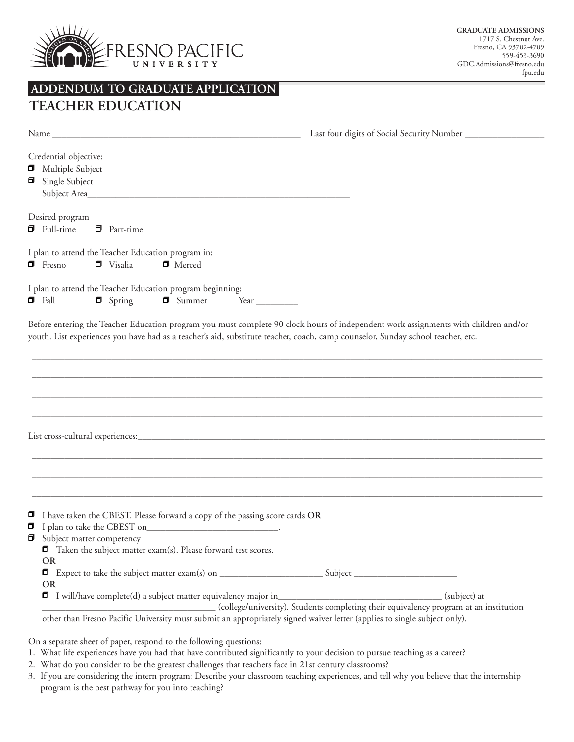

# **ADDENDUM TO GRADUATE APPLICATION**

## **TEACHER EDUCATION**

|   | Last four digits of Social Security Number<br>Name and the state of the state of the state of the state of the state of the state of the state of the state of the state of the state of the state of the state of the state of the state of the state of the state of the s |
|---|------------------------------------------------------------------------------------------------------------------------------------------------------------------------------------------------------------------------------------------------------------------------------|
|   | Credential objective:<br><b>I</b> Multiple Subject<br>Single Subject                                                                                                                                                                                                         |
|   | Desired program<br>$\blacksquare$ Full-time<br>$\blacksquare$ Part-time                                                                                                                                                                                                      |
|   | I plan to attend the Teacher Education program in:<br>$\blacksquare$ Fresno<br>$\blacksquare$ Visalia<br>$\blacksquare$ Merced                                                                                                                                               |
|   | I plan to attend the Teacher Education program beginning:<br>$\blacksquare$ Fall<br>$\blacksquare$ Spring<br>$\Box$ Summer<br>Year $\_\_$                                                                                                                                    |
|   | Before entering the Teacher Education program you must complete 90 clock hours of independent work assignments with children and/or<br>youth. List experiences you have had as a teacher's aid, substitute teacher, coach, camp counselor, Sunday school teacher, etc.       |
|   |                                                                                                                                                                                                                                                                              |
|   |                                                                                                                                                                                                                                                                              |
|   |                                                                                                                                                                                                                                                                              |
| σ | I have taken the CBEST. Please forward a copy of the passing score cards OR<br>Subject matter competency<br>$\blacksquare$ Taken the subject matter exam(s). Please forward test scores.<br><b>OR</b>                                                                        |
|   | <b>OR</b><br>(subject) at                                                                                                                                                                                                                                                    |
|   | I will/have complete(d) a subject matter equivalency major in<br>(college/university). Students completing their equivalency program at an institution                                                                                                                       |
|   | other than Fresno Pacific University must submit an appropriately signed waiver letter (applies to single subject only).                                                                                                                                                     |

On a separate sheet of paper, respond to the following questions:

- 1. What life experiences have you had that have contributed significantly to your decision to pursue teaching as a career?
- 2. What do you consider to be the greatest challenges that teachers face in 21st century classrooms?
- 3. If you are considering the intern program: Describe your classroom teaching experiences, and tell why you believe that the internship program is the best pathway for you into teaching?